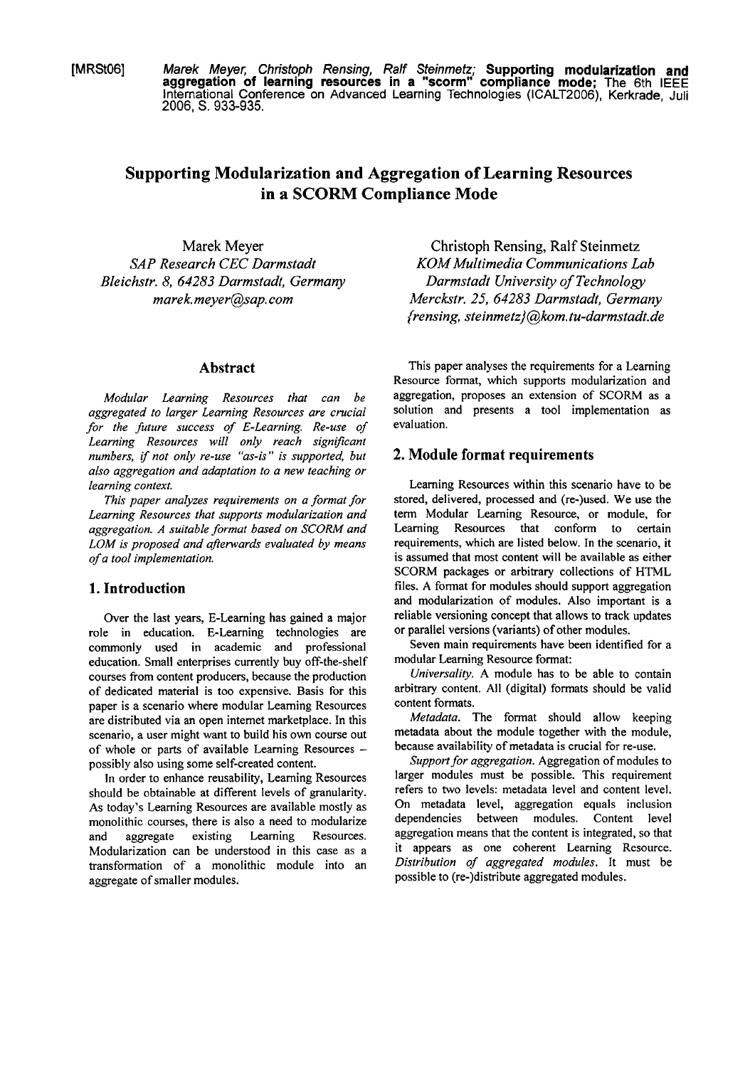**[M RStOG]** Marek **Meyer,** Christoph Rensing, **Ralf** Steinmetz; **Supporting modularization and aggregation of learning resources in a "sco~~" compliance mode;** The 6th **IEEE**  International Conference on Advanced Learning Technologies (ICALT2006), Kerkrade, Juli 2006, S. 933-935.

# **Supporting Modularization and Aggregation of Learning Resources in a SCORM Compliance Mode**

Marek Meyer SAP *Research CEC Darmstadt Bleichstr. 8, 64283 Darmstadt, Germany marek. meyer@sap. com* 

#### **Abstract**

*Modular Learning Resources that can be aggregated to larger Learning Resources are crucial for the future success of E-Learning. Re-use of*  Learning Resources will only reach significant *numbers,* if *not only re-use "as-is* " *is supported, but also aggregation and adaptation to a new teaching or learning context.* 

*This paper analyzes requirements on a format for Learning Resources that supports modularization and aggregation. A suitable format based on* **SCORM** *und*  LOM is proposed and afterwards evaluated by means *of a tool implementation.* 

# **1. Introduction**

Over the last years, E-Leaming has gained a major role in education. E-Learning technologies are commonly used in academic and professional education. Small enterprises currently buy off-the-shelf courses fiom content producers, because the production of dedicated material is too expensive. Basis for this paper is a scenario where modular Leaming Resources are distributed via an Open intemet marketplace. In this scenario, a user might want to build his own course out of whole or parts of available Leaming Resources - possibly also using some self-created content.

In order to enhance reusability, Leaming Resources should be obtainable at different levels of granularity. As today's Leaming Resources are available mostly as monolithic courses, there is also a need to modularize and aggregate existing Leaming Resources. Modularization can be understood in this case as a transformation of a monolithic module into an aggregate of smaller modules.

Christoph Rensing, Ralf Steinmetz KOM *Multimedia Communications Lab Darmstadt University of Technology Merckstr. 25, 64283 Darmstadt, Germany {rensing,* **steinmetz]@kom.tu-darmstadt.de** 

This paper analyses the requirements for a Learning Resource format, which supports modularization and aggregation, proposes an extension of SCORM as a solution and presents a tool implementation as evaluation.

#### **2. Module format requirements**

Leaming Resources within this scenario have to be stored, delivered, processed and (re-)used. We use the term Modular Learning Resource, or module, for Leaming Resources that conform to certain requirements, which are listed below. In the scenario, it is assumed that most content will be available as either SCORM packages or arbitrary collections of HTML files. **A** format for modules should support aggregation and modularization of modules. Also important is a reliable versioning concept that allows to track updates or parallel versions (variants) of other modules.

Seven main requirements have been identified for a modular Leaming Resource format:

*Universality.* A module has to be able to contain arbitrary content. All (digital) formats should be valid content formats.

*Metadata.* The format should allow keeping metadata about the module together with the module, because availability of metadata is crucial for re-use.

*Support for aggregation.* Aggregation of modules to larger modules must be possible. This requirement refers to two levels: metadata level and content level. On metadata level, aggregation equals inclusion dependencies between modules. Content level aggregation means that the content is integrated, so that it appears **as** one coherent Learning Resource. *Distribution of aggregated modules.* It must be possible to (re-)distribute aggregated modules.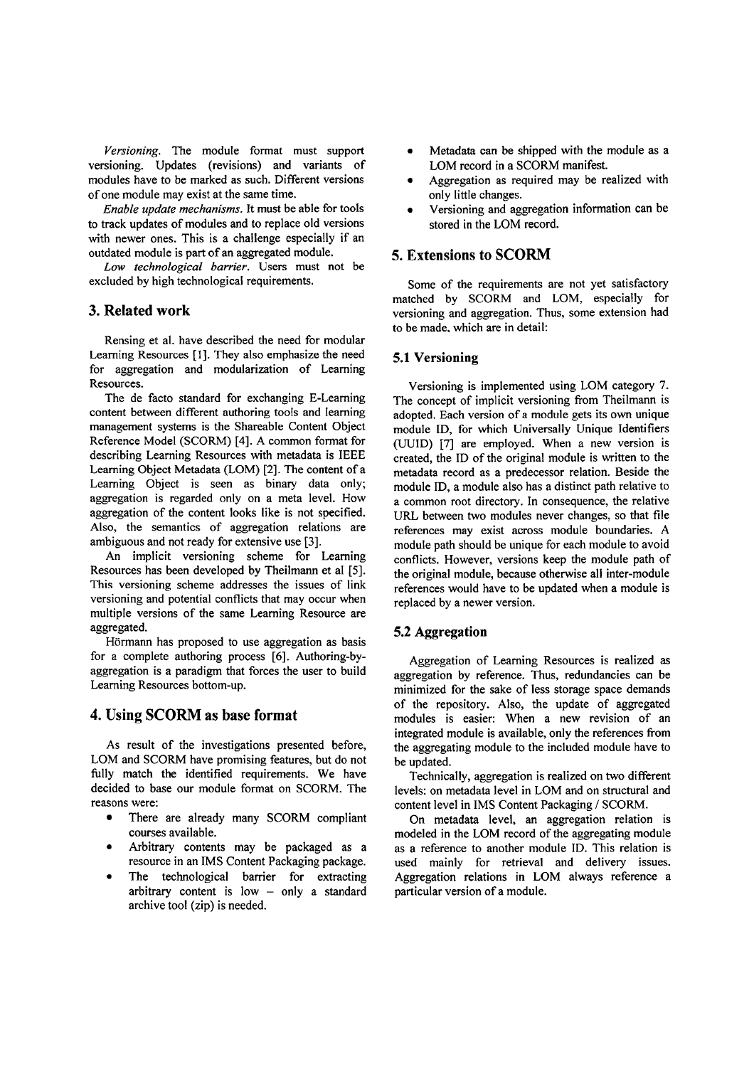*Versioning.* The module format must support versioning. Updates (revisions) and variants of modules have to be marked as such. Different versions of one module may exist at the Same time.

*Enable update mechanisrns.* It must be able for tools to track updates of modules and to replace old versions with newer ones. This is a challenge especially if an outdated module is part of an aggregated module.

Low *technological barrier.* Users must not be excluded by high technological requirements.

# **3. Related work**

Rensing et al. have described the need for modular Leaming Resources **[I].** They also emphasize the need for aggregation and modularization of Learning Resources.

The de facto standard for exchanging E-Leaming content between different authoring tools and leaming management systems is the Shareable Content Object Reference Model (SCORM) **[4].** A common format for describing Learning Resources with metadata is IEEE Learning Object Metadata (LOM) [2]. The content of a Learning Object is seen as binary data only; aggregation is regarded only on a meta level. How aggregation of the content looks like is not specified. Also, the semantics of aggregation relations are ambiguous and not ready for extensive use **[3].** 

An implicit versioning scheme for Leaming Resources has been developed by Theilrnann et al **[SI.**  This versioning scheme addresses the issues of link versioning and potential conflicts that may occur when multiple versions of the Same Leaming Resource are aggregated.

Hörmann has proposed to use aggregation as basis for a complete authoring process **[6].** Authoring-byaggregation is a paradigm that forces the user to build Leaming Resources bottom-up.

#### **4. Using SCORM as base format**

As result of the investigations presented before, LOM and SCORM have promising features, but do not fully match the identified requirements. We have decided to base our module format on SCORM. The reasons were:

- There are already many SCORM compliant Courses available.
- Arbitrary contents may be packaged as a resource in an **IMS** Content Packaging package.
- The technological barrier for extracting arbitrary content is low  $-$  only a standard archive tool (zip) is needed.
- Metadata can be shipped with the module as a LOM record in a SCORM manifest.
- Aggregation as required may be realized with only little changes.
- versioning and aggregation information can be stored in the LOM record.

# **5. Extensions to SCORM**

Some of the requirements are not yet satisfactory matched by SCORM and LOM, especially for versioning and aggregation. Thus, some extension had to be made. which are in detail:

## **5.1 Versioning**

Versioning is implemented using LOM category **7.**  The concept of implicit versioning fiom Theilmann is adopted. Each version of a module gets its own unique module D, for which Universally Unique Identifiers (UUID) **[7]** are employed. When a new version is created, the **ID** of the original module is written to the metadata record as a predecessor relation. Beside the module iD, a module also has a distinct path relative to a common root directory. In consequence, the relative URL between two modules never changes, so that file references may exist across module boundaries. A module path should be unique for each module to avoid conflicts. However, versions keep the module path of the original module, because otherwise all inter-module references would have to be updated when a module is replaced by a newer version.

# **5.2 Aggregation**

Aggregation of Learning Resources is realized as aggregation by reference. Thus, redundancies can be minimized for the sake of less storage space demands of the repository. Also, the update of aggregated modules is easier: When a new revision of an integrated module is available, only the references from the aggregating module to the included module have to be updated.

Technically, aggregation is realized on two different levels: on metadata level in LOM arid on structural and content level in IMS Content Packaging / SCORM.

On metadata level, an aggregation relation is modeled in the LOM record of the aggregating module as a reference to another module ID. This relation is used mainly for retrieval and delivery issues. Aggregation relations in LOM always reference a particular version of a module.